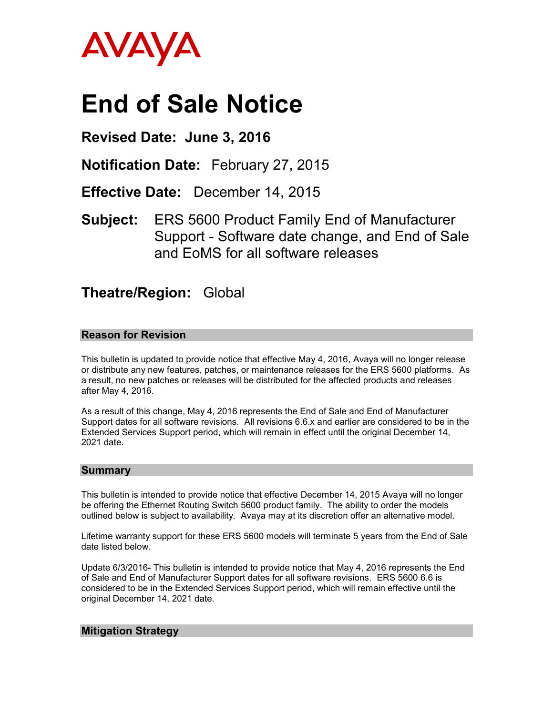

# **End of Sale Notice**

# **Revised Date: June 3, 2016**

**Notification Date:** February 27, 2015

**Effective Date:** December 14, 2015

**Subject:** ERS 5600 Product Family End of Manufacturer Support - Software date change, and End of Sale and EoMS for all software releases

# **Theatre/Region:** Global

## **Reason for Revision**

This bulletin is updated to provide notice that effective May 4, 2016, Avaya will no longer release or distribute any new features, patches, or maintenance releases for the ERS 5600 platforms. As a result, no new patches or releases will be distributed for the affected products and releases after May 4, 2016.

As a result of this change, May 4, 2016 represents the End of Sale and End of Manufacturer Support dates for all software revisions. All revisions 6.6.x and earlier are considered to be in the Extended Services Support period, which will remain in effect until the original December 14, 2021 date.

#### **Summary**

This bulletin is intended to provide notice that effective December 14, 2015 Avaya will no longer be offering the Ethernet Routing Switch 5600 product family. The ability to order the models outlined below is subject to availability. Avaya may at its discretion offer an alternative model.

Lifetime warranty support for these ERS 5600 models will terminate 5 years from the End of Sale date listed below.

Update 6/3/2016- This bulletin is intended to provide notice that May 4, 2016 represents the End of Sale and End of Manufacturer Support dates for all software revisions. ERS 5600 6.6 is considered to be in the Extended Services Support period, which will remain effective until the original December 14, 2021 date.

## **Mitigation Strategy**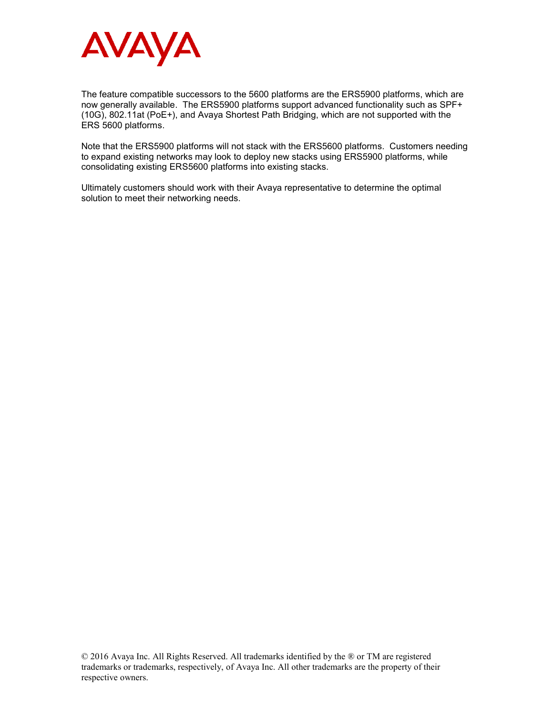

The feature compatible successors to the 5600 platforms are the ERS5900 platforms, which are now generally available. The ERS5900 platforms support advanced functionality such as SPF+ (10G), 802.11at (PoE+), and Avaya Shortest Path Bridging, which are not supported with the ERS 5600 platforms.

Note that the ERS5900 platforms will not stack with the ERS5600 platforms. Customers needing to expand existing networks may look to deploy new stacks using ERS5900 platforms, while consolidating existing ERS5600 platforms into existing stacks.

Ultimately customers should work with their Avaya representative to determine the optimal solution to meet their networking needs.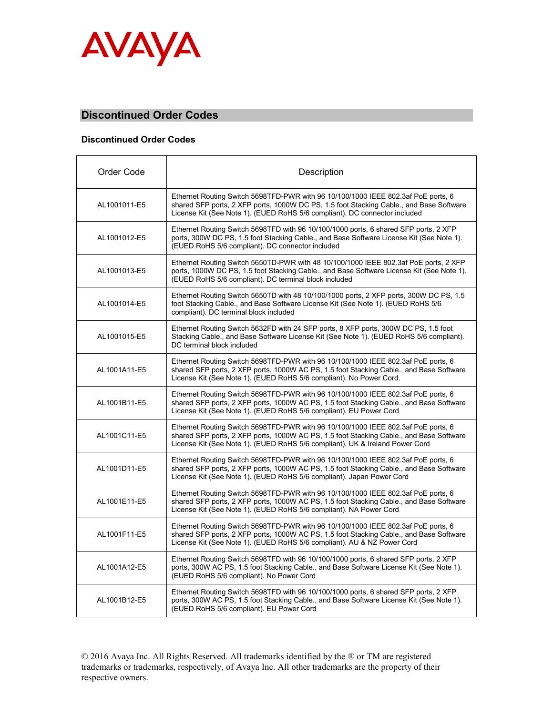

## **Discontinued Order Codes**

#### **Discontinued Order Codes**

| Order Code   | Description                                                                                                                                                                                                                                                  |  |
|--------------|--------------------------------------------------------------------------------------------------------------------------------------------------------------------------------------------------------------------------------------------------------------|--|
| AL1001011-E5 | Ethernet Routing Switch 5698TFD-PWR with 96 10/100/1000 IEEE 802.3af PoE ports, 6<br>shared SFP ports, 2 XFP ports, 1000W DC PS, 1.5 foot Stacking Cable., and Base Software<br>License Kit (See Note 1). (EUED RoHS 5/6 compliant). DC connector included   |  |
| AL1001012-E5 | Ethernet Routing Switch 5698TFD with 96 10/100/1000 ports, 6 shared SFP ports, 2 XFP<br>ports, 300W DC PS, 1.5 foot Stacking Cable., and Base Software License Kit (See Note 1).<br>(EUED RoHS 5/6 compliant). DC connector included                         |  |
| AL1001013-E5 | Ethernet Routing Switch 5650TD-PWR with 48 10/100/1000 IEEE 802.3af PoE ports, 2 XFP<br>ports, 1000W DC PS, 1.5 foot Stacking Cable., and Base Software License Kit (See Note 1).<br>(EUED RoHS 5/6 compliant). DC terminal block included                   |  |
| AL1001014-E5 | Ethernet Routing Switch 5650TD with 48 10/100/1000 ports, 2 XFP ports, 300W DC PS, 1.5<br>foot Stacking Cable., and Base Software License Kit (See Note 1). (EUED RoHS 5/6<br>compliant). DC terminal block included                                         |  |
| AL1001015-E5 | Ethernet Routing Switch 5632FD with 24 SFP ports, 8 XFP ports, 300W DC PS, 1.5 foot<br>Stacking Cable., and Base Software License Kit (See Note 1). (EUED RoHS 5/6 compliant).<br>DC terminal block included                                                 |  |
| AL1001A11-E5 | Ethernet Routing Switch 5698TFD-PWR with 96 10/100/1000 IEEE 802.3af PoE ports, 6<br>shared SFP ports, 2 XFP ports, 1000W AC PS, 1.5 foot Stacking Cable., and Base Software<br>License Kit (See Note 1). (EUED RoHS 5/6 compliant). No Power Cord.          |  |
| AL1001B11-E5 | Ethernet Routing Switch 5698TFD-PWR with 96 10/100/1000 IEEE 802.3af PoE ports, 6<br>shared SFP ports, 2 XFP ports, 1000W AC PS, 1.5 foot Stacking Cable., and Base Software<br>License Kit (See Note 1). (EUED RoHS 5/6 compliant). EU Power Cord           |  |
| AL1001C11-E5 | Ethernet Routing Switch 5698TFD-PWR with 96 10/100/1000 IEEE 802.3af PoE ports, 6<br>shared SFP ports, 2 XFP ports, 1000W AC PS, 1.5 foot Stacking Cable., and Base Software<br>License Kit (See Note 1). (EUED RoHS 5/6 compliant). UK & Ireland Power Cord |  |
| AL1001D11-E5 | Ethernet Routing Switch 5698TFD-PWR with 96 10/100/1000 IEEE 802.3af PoE ports, 6<br>shared SFP ports, 2 XFP ports, 1000W AC PS, 1.5 foot Stacking Cable., and Base Software<br>License Kit (See Note 1). (EUED RoHS 5/6 compliant). Japan Power Cord        |  |
| AL1001E11-E5 | Ethernet Routing Switch 5698TFD-PWR with 96 10/100/1000 IEEE 802.3af PoE ports, 6<br>shared SFP ports, 2 XFP ports, 1000W AC PS, 1.5 foot Stacking Cable., and Base Software<br>License Kit (See Note 1). (EUED RoHS 5/6 compliant). NA Power Cord           |  |
| AL1001F11-E5 | Ethernet Routing Switch 5698TFD-PWR with 96 10/100/1000 IEEE 802.3af PoE ports, 6<br>shared SFP ports, 2 XFP ports, 1000W AC PS, 1.5 foot Stacking Cable., and Base Software<br>License Kit (See Note 1). (EUED RoHS 5/6 compliant). AU & NZ Power Cord      |  |
| AL1001A12-E5 | Ethernet Routing Switch 5698TFD with 96 10/100/1000 ports, 6 shared SFP ports, 2 XFP<br>ports, 300W AC PS, 1.5 foot Stacking Cable., and Base Software License Kit (See Note 1).<br>(EUED RoHS 5/6 compliant). No Power Cord                                 |  |
| AL1001B12-E5 | Ethernet Routing Switch 5698TFD with 96 10/100/1000 ports, 6 shared SFP ports, 2 XFP<br>ports, 300W AC PS, 1.5 foot Stacking Cable., and Base Software License Kit (See Note 1).<br>(EUED RoHS 5/6 compliant). EU Power Cord                                 |  |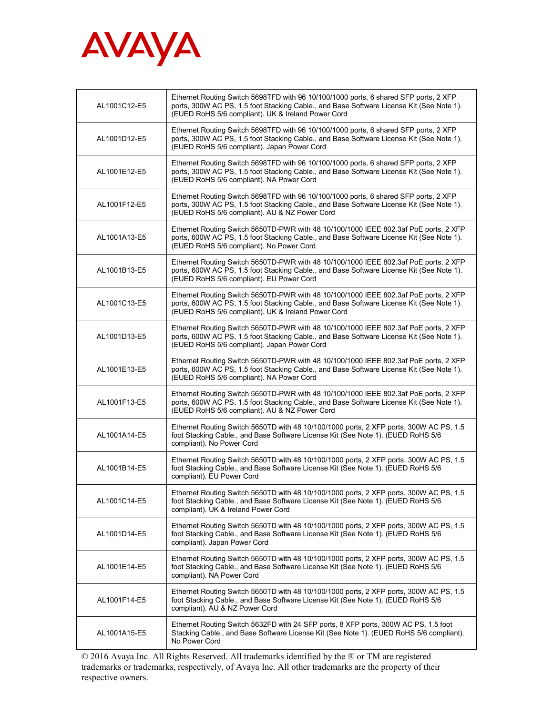

| AL1001C12-E5 | Ethernet Routing Switch 5698TFD with 96 10/100/1000 ports, 6 shared SFP ports, 2 XFP<br>ports, 300W AC PS, 1.5 foot Stacking Cable., and Base Software License Kit (See Note 1).<br>(EUED RoHS 5/6 compliant). UK & Ireland Power Cord |
|--------------|----------------------------------------------------------------------------------------------------------------------------------------------------------------------------------------------------------------------------------------|
| AL1001D12-E5 | Ethernet Routing Switch 5698TFD with 96 10/100/1000 ports, 6 shared SFP ports, 2 XFP<br>ports, 300W AC PS, 1.5 foot Stacking Cable., and Base Software License Kit (See Note 1).<br>(EUED RoHS 5/6 compliant). Japan Power Cord        |
| AL1001E12-E5 | Ethernet Routing Switch 5698TFD with 96 10/100/1000 ports, 6 shared SFP ports, 2 XFP<br>ports, 300W AC PS, 1.5 foot Stacking Cable., and Base Software License Kit (See Note 1).<br>(EUED RoHS 5/6 compliant). NA Power Cord           |
| AL1001F12-E5 | Ethernet Routing Switch 5698TFD with 96 10/100/1000 ports, 6 shared SFP ports, 2 XFP<br>ports, 300W AC PS, 1.5 foot Stacking Cable., and Base Software License Kit (See Note 1).<br>(EUED RoHS 5/6 compliant). AU & NZ Power Cord      |
| AL1001A13-E5 | Ethernet Routing Switch 5650TD-PWR with 48 10/100/1000 IEEE 802.3af PoE ports, 2 XFP<br>ports, 600W AC PS, 1.5 foot Stacking Cable., and Base Software License Kit (See Note 1).<br>(EUED RoHS 5/6 compliant). No Power Cord           |
| AL1001B13-E5 | Ethernet Routing Switch 5650TD-PWR with 48 10/100/1000 IEEE 802.3af PoE ports, 2 XFP<br>ports, 600W AC PS, 1.5 foot Stacking Cable., and Base Software License Kit (See Note 1).<br>(EUED RoHS 5/6 compliant). EU Power Cord           |
| AL1001C13-E5 | Ethernet Routing Switch 5650TD-PWR with 48 10/100/1000 IEEE 802.3af PoE ports, 2 XFP<br>ports, 600W AC PS, 1.5 foot Stacking Cable., and Base Software License Kit (See Note 1).<br>(EUED RoHS 5/6 compliant). UK & Ireland Power Cord |
| AL1001D13-E5 | Ethernet Routing Switch 5650TD-PWR with 48 10/100/1000 IEEE 802.3af PoE ports, 2 XFP<br>ports, 600W AC PS, 1.5 foot Stacking Cable., and Base Software License Kit (See Note 1).<br>(EUED RoHS 5/6 compliant). Japan Power Cord        |
| AL1001E13-E5 | Ethernet Routing Switch 5650TD-PWR with 48 10/100/1000 IEEE 802.3af PoE ports, 2 XFP<br>ports, 600W AC PS, 1.5 foot Stacking Cable., and Base Software License Kit (See Note 1).<br>(EUED RoHS 5/6 compliant). NA Power Cord           |
| AL1001F13-E5 | Ethernet Routing Switch 5650TD-PWR with 48 10/100/1000 IEEE 802.3af PoE ports, 2 XFP<br>ports, 600W AC PS, 1.5 foot Stacking Cable., and Base Software License Kit (See Note 1).<br>(EUED RoHS 5/6 compliant). AU & NZ Power Cord      |
| AL1001A14-E5 | Ethernet Routing Switch 5650TD with 48 10/100/1000 ports, 2 XFP ports, 300W AC PS, 1.5<br>foot Stacking Cable., and Base Software License Kit (See Note 1). (EUED RoHS 5/6<br>compliant). No Power Cord                                |
| AL1001B14-E5 | Ethernet Routing Switch 5650TD with 48 10/100/1000 ports, 2 XFP ports, 300W AC PS, 1.5<br>foot Stacking Cable., and Base Software License Kit (See Note 1). (EUED RoHS 5/6<br>compliant). EU Power Cord                                |
| AL1001C14-E5 | Ethernet Routing Switch 5650TD with 48 10/100/1000 ports, 2 XFP ports, 300W AC PS, 1.5<br>foot Stacking Cable., and Base Software License Kit (See Note 1). (EUED RoHS 5/6<br>compliant). UK & Ireland Power Cord                      |
| AL1001D14-E5 | Ethernet Routing Switch 5650TD with 48 10/100/1000 ports, 2 XFP ports, 300W AC PS, 1.5<br>foot Stacking Cable., and Base Software License Kit (See Note 1). (EUED RoHS 5/6<br>compliant). Japan Power Cord                             |
| AL1001E14-E5 | Ethernet Routing Switch 5650TD with 48 10/100/1000 ports, 2 XFP ports, 300W AC PS, 1.5<br>foot Stacking Cable., and Base Software License Kit (See Note 1). (EUED RoHS 5/6<br>compliant). NA Power Cord                                |
| AL1001F14-E5 | Ethernet Routing Switch 5650TD with 48 10/100/1000 ports, 2 XFP ports, 300W AC PS, 1.5<br>foot Stacking Cable., and Base Software License Kit (See Note 1). (EUED RoHS 5/6<br>compliant). AU & NZ Power Cord                           |
| AL1001A15-E5 | Ethernet Routing Switch 5632FD with 24 SFP ports, 8 XFP ports, 300W AC PS, 1.5 foot<br>Stacking Cable., and Base Software License Kit (See Note 1). (EUED RoHS 5/6 compliant).<br>No Power Cord                                        |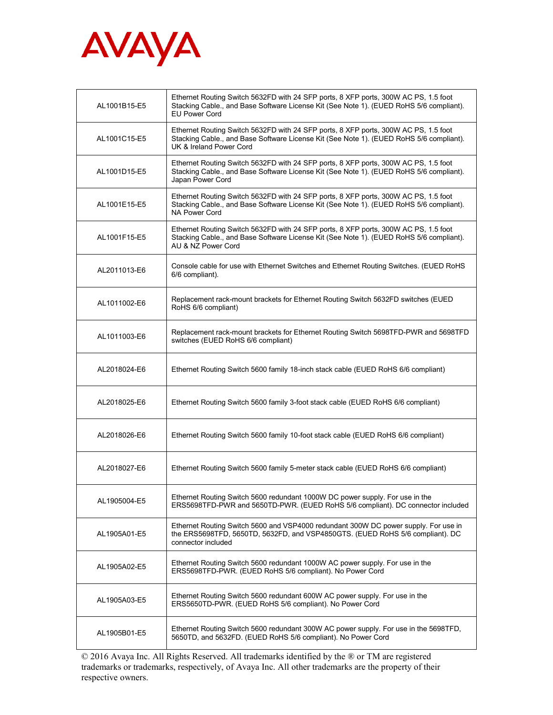

| AL1001B15-E5 | Ethernet Routing Switch 5632FD with 24 SFP ports, 8 XFP ports, 300W AC PS, 1.5 foot<br>Stacking Cable., and Base Software License Kit (See Note 1). (EUED RoHS 5/6 compliant).<br><b>EU Power Cord</b>    |
|--------------|-----------------------------------------------------------------------------------------------------------------------------------------------------------------------------------------------------------|
| AL1001C15-E5 | Ethernet Routing Switch 5632FD with 24 SFP ports, 8 XFP ports, 300W AC PS, 1.5 foot<br>Stacking Cable., and Base Software License Kit (See Note 1). (EUED RoHS 5/6 compliant).<br>UK & Ireland Power Cord |
| AL1001D15-E5 | Ethernet Routing Switch 5632FD with 24 SFP ports, 8 XFP ports, 300W AC PS, 1.5 foot<br>Stacking Cable., and Base Software License Kit (See Note 1). (EUED RoHS 5/6 compliant).<br>Japan Power Cord        |
| AL1001E15-E5 | Ethernet Routing Switch 5632FD with 24 SFP ports, 8 XFP ports, 300W AC PS, 1.5 foot<br>Stacking Cable., and Base Software License Kit (See Note 1). (EUED RoHS 5/6 compliant).<br>NA Power Cord           |
| AL1001F15-E5 | Ethernet Routing Switch 5632FD with 24 SFP ports, 8 XFP ports, 300W AC PS, 1.5 foot<br>Stacking Cable., and Base Software License Kit (See Note 1). (EUED RoHS 5/6 compliant).<br>AU & NZ Power Cord      |
| AL2011013-E6 | Console cable for use with Ethernet Switches and Ethernet Routing Switches. (EUED RoHS<br>6/6 compliant).                                                                                                 |
| AL1011002-E6 | Replacement rack-mount brackets for Ethernet Routing Switch 5632FD switches (EUED<br>RoHS 6/6 compliant)                                                                                                  |
| AL1011003-E6 | Replacement rack-mount brackets for Ethernet Routing Switch 5698TFD-PWR and 5698TFD<br>switches (EUED RoHS 6/6 compliant)                                                                                 |
| AL2018024-E6 | Ethernet Routing Switch 5600 family 18-inch stack cable (EUED RoHS 6/6 compliant)                                                                                                                         |
| AL2018025-E6 | Ethernet Routing Switch 5600 family 3-foot stack cable (EUED RoHS 6/6 compliant)                                                                                                                          |
| AL2018026-E6 | Ethernet Routing Switch 5600 family 10-foot stack cable (EUED RoHS 6/6 compliant)                                                                                                                         |
| AL2018027-E6 | Ethernet Routing Switch 5600 family 5-meter stack cable (EUED RoHS 6/6 compliant)                                                                                                                         |
| AL1905004-E5 | Ethernet Routing Switch 5600 redundant 1000W DC power supply. For use in the<br>ERS5698TFD-PWR and 5650TD-PWR. (EUED RoHS 5/6 compliant). DC connector included                                           |
| AL1905A01-E5 | Ethernet Routing Switch 5600 and VSP4000 redundant 300W DC power supply. For use in<br>the ERS5698TFD, 5650TD, 5632FD, and VSP4850GTS. (EUED RoHS 5/6 compliant). DC<br>connector included                |
| AL1905A02-E5 | Ethernet Routing Switch 5600 redundant 1000W AC power supply. For use in the<br>ERS5698TFD-PWR. (EUED RoHS 5/6 compliant). No Power Cord                                                                  |
| AL1905A03-E5 | Ethernet Routing Switch 5600 redundant 600W AC power supply. For use in the<br>ERS5650TD-PWR. (EUED RoHS 5/6 compliant). No Power Cord                                                                    |
| AL1905B01-E5 | Ethernet Routing Switch 5600 redundant 300W AC power supply. For use in the 5698TFD,<br>5650TD, and 5632FD. (EUED RoHS 5/6 compliant). No Power Cord                                                      |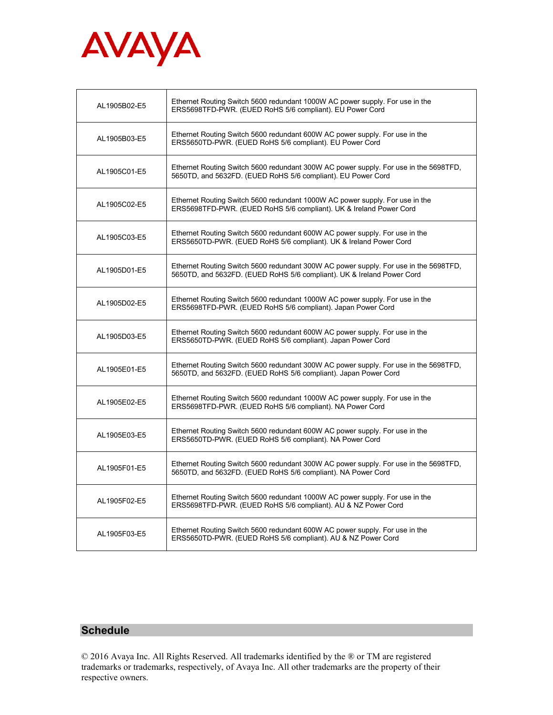

| AL1905B02-E5 | Ethernet Routing Switch 5600 redundant 1000W AC power supply. For use in the<br>ERS5698TFD-PWR. (EUED RoHS 5/6 compliant). EU Power Cord                       |
|--------------|----------------------------------------------------------------------------------------------------------------------------------------------------------------|
| AL1905B03-E5 | Ethernet Routing Switch 5600 redundant 600W AC power supply. For use in the<br>ERS5650TD-PWR. (EUED RoHS 5/6 compliant). EU Power Cord                         |
| AL1905C01-E5 | Ethernet Routing Switch 5600 redundant 300W AC power supply. For use in the 5698TFD,<br>5650TD, and 5632FD. (EUED RoHS 5/6 compliant). EU Power Cord           |
| AL1905C02-E5 | Ethernet Routing Switch 5600 redundant 1000W AC power supply. For use in the<br>ERS5698TFD-PWR. (EUED RoHS 5/6 compliant). UK & Ireland Power Cord             |
| AL1905C03-E5 | Ethernet Routing Switch 5600 redundant 600W AC power supply. For use in the<br>ERS5650TD-PWR. (EUED RoHS 5/6 compliant). UK & Ireland Power Cord               |
| AL1905D01-E5 | Ethernet Routing Switch 5600 redundant 300W AC power supply. For use in the 5698TFD,<br>5650TD, and 5632FD. (EUED RoHS 5/6 compliant). UK & Ireland Power Cord |
| AL1905D02-E5 | Ethernet Routing Switch 5600 redundant 1000W AC power supply. For use in the<br>ERS5698TFD-PWR. (EUED RoHS 5/6 compliant). Japan Power Cord                    |
| AL1905D03-E5 | Ethernet Routing Switch 5600 redundant 600W AC power supply. For use in the<br>ERS5650TD-PWR. (EUED RoHS 5/6 compliant). Japan Power Cord                      |
| AL1905E01-E5 | Ethernet Routing Switch 5600 redundant 300W AC power supply. For use in the 5698TFD,<br>5650TD, and 5632FD. (EUED RoHS 5/6 compliant). Japan Power Cord        |
| AL1905E02-E5 | Ethernet Routing Switch 5600 redundant 1000W AC power supply. For use in the<br>ERS5698TFD-PWR. (EUED RoHS 5/6 compliant). NA Power Cord                       |
| AL1905E03-E5 | Ethernet Routing Switch 5600 redundant 600W AC power supply. For use in the<br>ERS5650TD-PWR. (EUED RoHS 5/6 compliant). NA Power Cord                         |
| AL1905F01-E5 | Ethernet Routing Switch 5600 redundant 300W AC power supply. For use in the 5698TFD,<br>5650TD, and 5632FD. (EUED RoHS 5/6 compliant). NA Power Cord           |
| AL1905F02-E5 | Ethernet Routing Switch 5600 redundant 1000W AC power supply. For use in the<br>ERS5698TFD-PWR. (EUED RoHS 5/6 compliant). AU & NZ Power Cord                  |
| AL1905F03-E5 | Ethernet Routing Switch 5600 redundant 600W AC power supply. For use in the<br>ERS5650TD-PWR. (EUED RoHS 5/6 compliant). AU & NZ Power Cord                    |

## **Schedule**